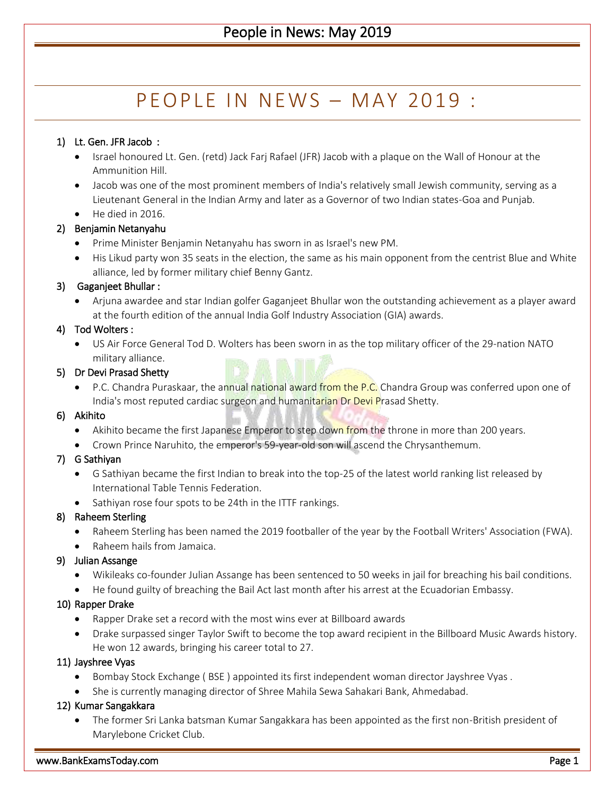# P F O P I F I N N F W S  $-$  M A Y 2019:

# 1) Lt. Gen. JFR Jacob :

- Israel honoured Lt. Gen. (retd) Jack Farj Rafael (JFR) Jacob with a plaque on the Wall of Honour at the Ammunition Hill.
- Jacob was one of the most prominent members of India's relatively small Jewish community, serving as a Lieutenant General in the Indian Army and later as a Governor of two Indian states-Goa and Punjab.
- $\bullet$  He died in 2016.

# 2) Benjamin Netanyahu

- Prime Minister Benjamin Netanyahu has sworn in as Israel's new PM.
- His Likud party won 35 seats in the election, the same as his main opponent from the centrist Blue and White alliance, led by former military chief Benny Gantz.

# 3) Gaganjeet Bhullar :

 Arjuna awardee and star Indian golfer Gaganjeet Bhullar won the outstanding achievement as a player award at the fourth edition of the annual India Golf Industry Association (GIA) awards.

# 4) Tod Wolters :

 US Air Force General Tod D. Wolters has been sworn in as the top military officer of the 29-nation NATO military alliance.

# 5) Dr Devi Prasad Shetty

• P.C. Chandra Puraskaar, the annual national award from the P.C. Chandra Group was conferred upon one of India's most reputed cardiac surgeon and humanitarian Dr Devi Prasad Shetty.

# 6) Akihito

- Akihito became the first Japanese Emperor to step down from the throne in more than 200 years.
- Crown Prince Naruhito, the emperor's 59-year-old son will ascend the Chrysanthemum.

# 7) G Sathiyan

- G Sathiyan became the first Indian to break into the top-25 of the latest world ranking list released by International Table Tennis Federation.
- Sathiyan rose four spots to be 24th in the ITTF rankings.

# 8) Raheem Sterling

- Raheem Sterling has been named the 2019 footballer of the year by the Football Writers' Association (FWA).
- Raheem hails from Jamaica.

# 9) Julian Assange

- Wikileaks co-founder Julian Assange has been sentenced to 50 weeks in jail for breaching his bail conditions.
- He found guilty of breaching the Bail Act last month after his arrest at the Ecuadorian Embassy.

# 10) Rapper Drake

- Rapper Drake set a record with the most wins ever at Billboard awards
- Drake surpassed singer Taylor Swift to become the top award recipient in the Billboard Music Awards history. He won 12 awards, bringing his career total to 27.

# 11) Jayshree Vyas

- Bombay Stock Exchange ( BSE ) appointed its first independent woman director Jayshree Vyas .
- She is currently managing director of Shree Mahila Sewa Sahakari Bank, Ahmedabad.

# 12) Kumar Sangakkara

 The former Sri Lanka batsman Kumar Sangakkara has been appointed as the first non-British president of Marylebone Cricket Club.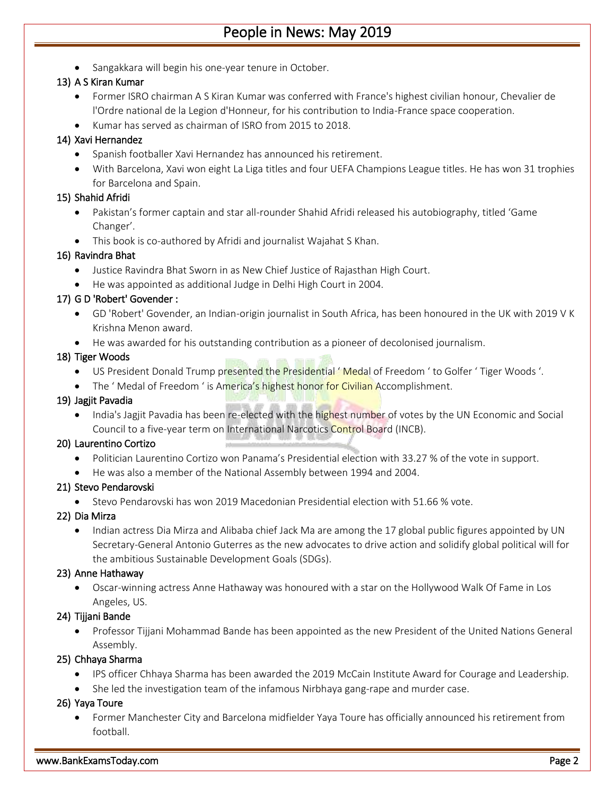# People in News: May 2019

• Sangakkara will begin his one-year tenure in October.

# 13) A S Kiran Kumar

- Former ISRO chairman A S Kiran Kumar was conferred with France's highest civilian honour, Chevalier de l'Ordre national de la Legion d'Honneur, for his contribution to India-France space cooperation.
- Kumar has served as chairman of ISRO from 2015 to 2018.

# 14) Xavi Hernandez

- Spanish footballer Xavi Hernandez has announced his retirement.
- With Barcelona, Xavi won eight La Liga titles and four UEFA Champions League titles. He has won 31 trophies for Barcelona and Spain.

# 15) Shahid Afridi

- Pakistan's former captain and star all-rounder Shahid Afridi released his autobiography, titled 'Game Changer'.
- This book is co-authored by Afridi and journalist Wajahat S Khan.

# 16) Ravindra Bhat

- Justice Ravindra Bhat Sworn in as New Chief Justice of Rajasthan High Court.
- He was appointed as additional Judge in Delhi High Court in 2004.

# 17) G D 'Robert' Govender :

- GD 'Robert' Govender, an Indian-origin journalist in South Africa, has been honoured in the UK with 2019 V K Krishna Menon award.
- He was awarded for his outstanding contribution as a pioneer of decolonised journalism.

# 18) Tiger Woods

- US President Donald Trump presented the Presidential ' Medal of Freedom ' to Golfer ' Tiger Woods '.
- The 'Medal of Freedom ' is America's highest honor for Civilian Accomplishment.

## 19) Jagjit Pavadia

• India's Jagjit Pavadia has been re-elected with the highest number of votes by the UN Economic and Social Council to a five-year term on International Narcotics Control Board (INCB).

#### 20) Laurentino Cortizo

- Politician Laurentino Cortizo won Panama's Presidential election with 33.27 % of the vote in support.
- He was also a member of the National Assembly between 1994 and 2004.

# 21) Stevo Pendarovski

Stevo Pendarovski has won 2019 Macedonian Presidential election with 51.66 % vote.

#### 22) Dia Mirza

• Indian actress Dia Mirza and Alibaba chief Jack Ma are among the 17 global public figures appointed by UN Secretary-General Antonio Guterres as the new advocates to drive action and solidify global political will for the ambitious Sustainable Development Goals (SDGs).

#### 23) Anne Hathaway

 Oscar-winning actress Anne Hathaway was honoured with a star on the Hollywood Walk Of Fame in Los Angeles, US.

# 24) Tijjani Bande

 Professor Tijjani Mohammad Bande has been appointed as the new President of the United Nations General Assembly.

# 25) Chhaya Sharma

- IPS officer Chhaya Sharma has been awarded the 2019 McCain Institute Award for Courage and Leadership.
- She led the investigation team of the infamous Nirbhaya gang-rape and murder case.

# 26) Yaya Toure

 Former Manchester City and Barcelona midfielder Yaya Toure has officially announced his retirement from football.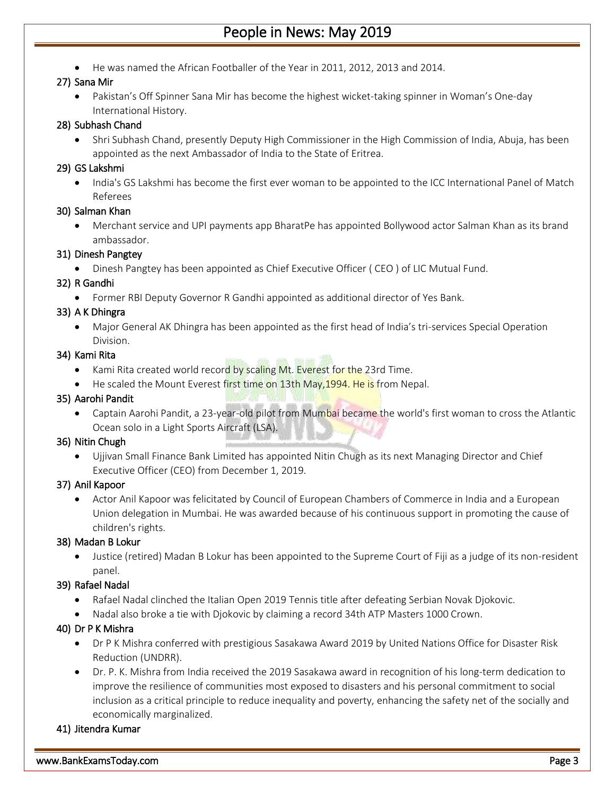# People in News: May 2019

He was named the African Footballer of the Year in 2011, 2012, 2013 and 2014.

# 27) Sana Mir

 Pakistan's Off Spinner Sana Mir has become the highest wicket-taking spinner in Woman's One-day International History.

#### 28) Subhash Chand

 Shri Subhash Chand, presently Deputy High Commissioner in the High Commission of India, Abuja, has been appointed as the next Ambassador of India to the State of Eritrea.

## 29) GS Lakshmi

• India's GS Lakshmi has become the first ever woman to be appointed to the ICC International Panel of Match Referees

#### 30) Salman Khan

 Merchant service and UPI payments app BharatPe has appointed Bollywood actor Salman Khan as its brand ambassador.

#### 31) Dinesh Pangtey

Dinesh Pangtey has been appointed as Chief Executive Officer ( CEO ) of LIC Mutual Fund.

#### 32) R Gandhi

Former RBI Deputy Governor R Gandhi appointed as additional director of Yes Bank.

#### 33) A K Dhingra

 Major General AK Dhingra has been appointed as the first head of India's tri-services Special Operation Division.

#### 34) Kami Rita

- Kami Rita created world record by scaling Mt. Everest for the 23rd Time.
- He scaled the Mount Everest first time on 13th May, 1994. He is from Nepal.

#### 35) Aarohi Pandit

• Captain Aarohi Pandit, a 23-year-old pilot from Mumbai became the world's first woman to cross the Atlantic Ocean solo in a Light Sports Aircraft (LSA).

# 36) Nitin Chugh

 Ujjivan Small Finance Bank Limited has appointed Nitin Chugh as its next Managing Director and Chief Executive Officer (CEO) from December 1, 2019.

# 37) Anil Kapoor

 Actor Anil Kapoor was felicitated by Council of European Chambers of Commerce in India and a European Union delegation in Mumbai. He was awarded because of his continuous support in promoting the cause of children's rights.

# 38) Madan B Lokur

 Justice (retired) Madan B Lokur has been appointed to the Supreme Court of Fiji as a judge of its non-resident panel.

# 39) Rafael Nadal

- Rafael Nadal clinched the Italian Open 2019 Tennis title after defeating Serbian Novak Djokovic.
- Nadal also broke a tie with Djokovic by claiming a record 34th ATP Masters 1000 Crown.

# 40) Dr P K Mishra

- Dr P K Mishra conferred with prestigious Sasakawa Award 2019 by United Nations Office for Disaster Risk Reduction (UNDRR).
- Dr. P. K. Mishra from India received the 2019 Sasakawa award in recognition of his long-term dedication to improve the resilience of communities most exposed to disasters and his personal commitment to social inclusion as a critical principle to reduce inequality and poverty, enhancing the safety net of the socially and economically marginalized.

# 41) Jitendra Kumar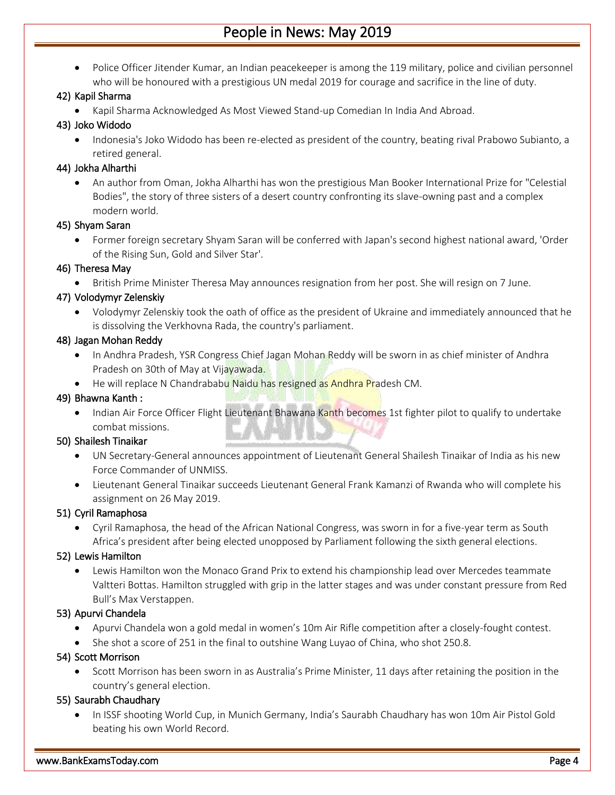Police Officer Jitender Kumar, an Indian peacekeeper is among the 119 military, police and civilian personnel who will be honoured with a prestigious UN medal 2019 for courage and sacrifice in the line of duty.

# 42) Kapil Sharma

Kapil Sharma Acknowledged As Most Viewed Stand-up Comedian In India And Abroad.

# 43) Joko Widodo

• Indonesia's Joko Widodo has been re-elected as president of the country, beating rival Prabowo Subianto, a retired general.

# 44) Jokha Alharthi

 An author from Oman, Jokha Alharthi has won the prestigious Man Booker International Prize for "Celestial Bodies", the story of three sisters of a desert country confronting its slave-owning past and a complex modern world.

# 45) Shyam Saran

 Former foreign secretary Shyam Saran will be conferred with Japan's second highest national award, 'Order of the Rising Sun, Gold and Silver Star'.

# 46) Theresa May

British Prime Minister Theresa May announces resignation from her post. She will resign on 7 June.

# 47) Volodymyr Zelenskiy

 Volodymyr Zelenskiy took the oath of office as the president of Ukraine and immediately announced that he is dissolving the Verkhovna Rada, the country's parliament.

# 48) Jagan Mohan Reddy

- In Andhra Pradesh, YSR Congress Chief Jagan Mohan Reddy will be sworn in as chief minister of Andhra Pradesh on 30th of May at Vijayawada.
- He will replace N Chandrababu Naidu has resigned as Andhra Pradesh CM.

# 49) Bhawna Kanth :

• Indian Air Force Officer Flight Lieutenant Bhawana Kanth becomes 1st fighter pilot to qualify to undertake combat missions.

# 50) Shailesh Tinaikar

- UN Secretary-General announces appointment of Lieutenant General Shailesh Tinaikar of India as his new Force Commander of UNMISS.
- Lieutenant General Tinaikar succeeds Lieutenant General Frank Kamanzi of Rwanda who will complete his assignment on 26 May 2019.

# 51) Cyril Ramaphosa

 Cyril Ramaphosa, the head of the African National Congress, was sworn in for a five-year term as South Africa's president after being elected unopposed by Parliament following the sixth general elections.

# 52) Lewis Hamilton

 Lewis Hamilton won the Monaco Grand Prix to extend his championship lead over Mercedes teammate Valtteri Bottas. Hamilton struggled with grip in the latter stages and was under constant pressure from Red Bull's Max Verstappen.

# 53) Apurvi Chandela

- Apurvi Chandela won a gold medal in women's 10m Air Rifle competition after a closely-fought contest.
- She shot a score of 251 in the final to outshine Wang Luyao of China, who shot 250.8.

# 54) Scott Morrison

 Scott Morrison has been sworn in as Australia's Prime Minister, 11 days after retaining the position in the country's general election.

# 55) Saurabh Chaudhary

• In ISSF shooting World Cup, in Munich Germany, India's Saurabh Chaudhary has won 10m Air Pistol Gold beating his own World Record.